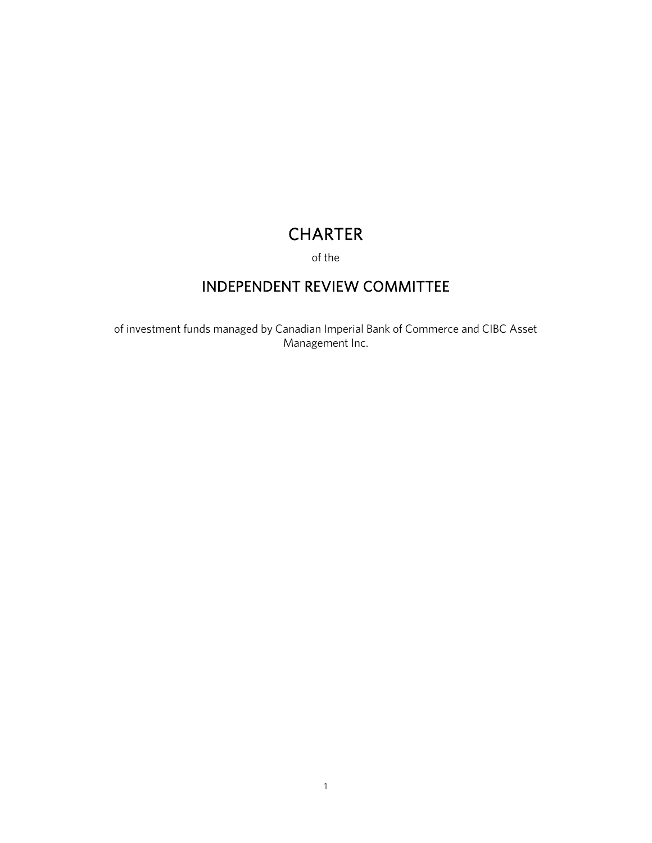# **CHARTER**

of the

# INDEPENDENT REVIEW COMMITTEE

of investment funds managed by Canadian Imperial Bank of Commerce and CIBC Asset Management Inc.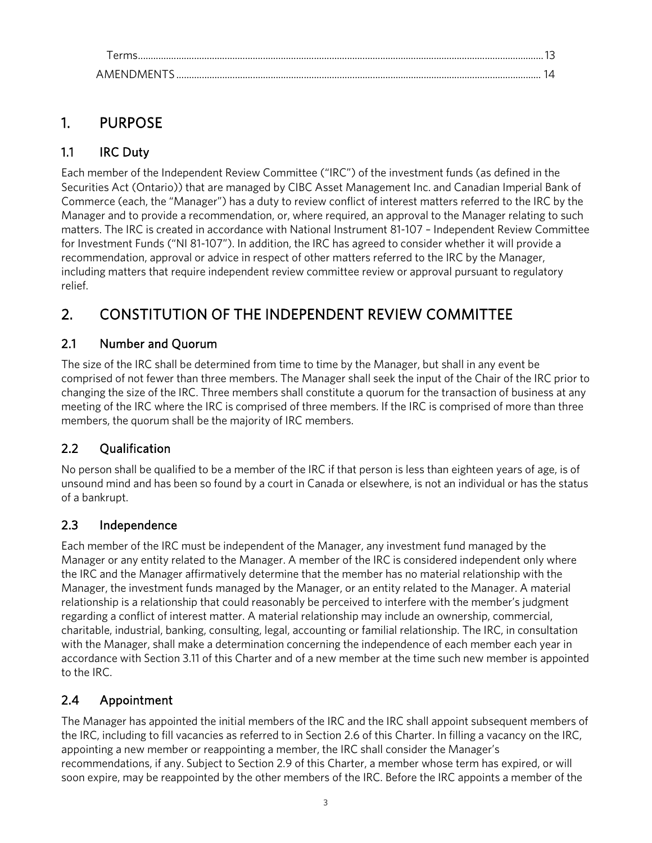<span id="page-2-1"></span><span id="page-2-0"></span>

| AMFNDMFNTS |  |
|------------|--|

# 1. PURPOSE

# 1.1 IRC Duty

Each member of the Independent Review Committee ("IRC") of the investment funds (as defined in the Securities Act (Ontario)) that are managed by CIBC Asset Management Inc. and Canadian Imperial Bank of Commerce (each, the "Manager") has a duty to review conflict of interest matters referred to the IRC by the Manager and to provide a recommendation, or, where required, an approval to the Manager relating to such matters. The IRC is created in accordance with National Instrument 81-107 – Independent Review Committee for Investment Funds ("NI 81-107"). In addition, the IRC has agreed to consider whether it will provide a recommendation, approval or advice in respect of other matters referred to the IRC by the Manager, including matters that require independent review committee review or approval pursuant to regulatory relief.

# <span id="page-2-2"></span>2. CONSTITUTION OF THE INDEPENDENT REVIEW COMMITTEE

# 2.1 Number and Quorum

The size of the IRC shall be determined from time to time by the Manager, but shall in any event be comprised of not fewer than three members. The Manager shall seek the input of the Chair of the IRC prior to changing the size of the IRC. Three members shall constitute a quorum for the transaction of business at any meeting of the IRC where the IRC is comprised of three members. If the IRC is comprised of more than three members, the quorum shall be the majority of IRC members.

### 2.2 Qualification

No person shall be qualified to be a member of the IRC if that person is less than eighteen years of age, is of unsound mind and has been so found by a court in Canada or elsewhere, is not an individual or has the status of a bankrupt.

### 2.3 Independence

Each member of the IRC must be independent of the Manager, any investment fund managed by the Manager or any entity related to the Manager. A member of the IRC is considered independent only where the IRC and the Manager affirmatively determine that the member has no material relationship with the Manager, the investment funds managed by the Manager, or an entity related to the Manager. A material relationship is a relationship that could reasonably be perceived to interfere with the member's judgment regarding a conflict of interest matter. A material relationship may include an ownership, commercial, charitable, industrial, banking, consulting, legal, accounting or familial relationship. The IRC, in consultation with the Manager, shall make a determination concerning the independence of each member each year in accordance with Section 3.11 of this Charter and of a new member at the time such new member is appointed to the IRC.

### <span id="page-2-3"></span>2.4 Appointment

The Manager has appointed the initial members of the IRC and the IRC shall appoint subsequent members of the IRC, including to fill vacancies as referred to in Section 2.6 of this Charter. In filling a vacancy on the IRC, appointing a new member or reappointing a member, the IRC shall consider the Manager's recommendations, if any. Subject to Section 2.9 of this Charter, a member whose term has expired, or will soon expire, may be reappointed by the other members of the IRC. Before the IRC appoints a member of the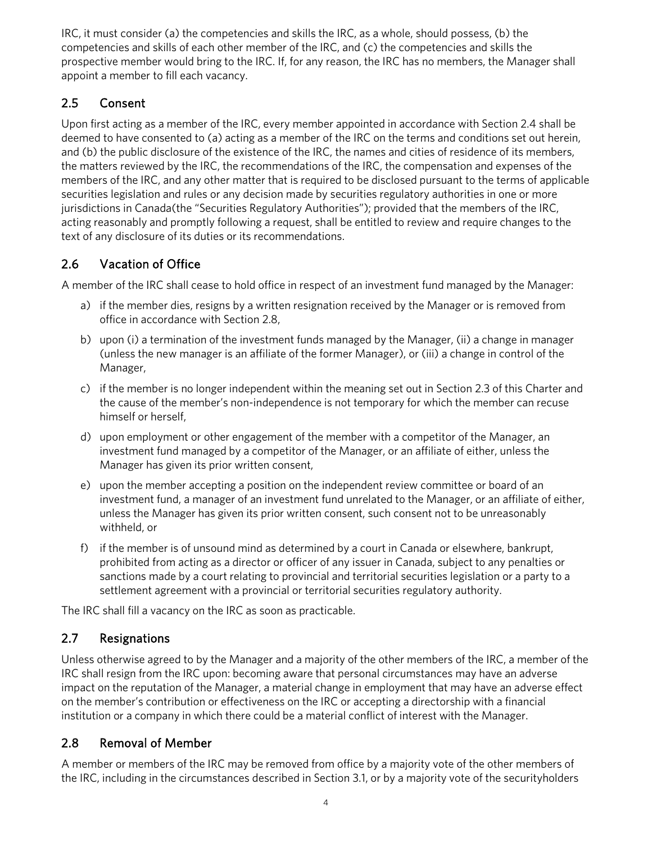IRC, it must consider (a) the competencies and skills the IRC, as a whole, should possess, (b) the competencies and skills of each other member of the IRC, and (c) the competencies and skills the prospective member would bring to the IRC. If, for any reason, the IRC has no members, the Manager shall appoint a member to fill each vacancy.

### <span id="page-3-0"></span>2.5 Consent

Upon first acting as a member of the IRC, every member appointed in accordance with Section 2.4 shall be deemed to have consented to (a) acting as a member of the IRC on the terms and conditions set out herein, and (b) the public disclosure of the existence of the IRC, the names and cities of residence of its members, the matters reviewed by the IRC, the recommendations of the IRC, the compensation and expenses of the members of the IRC, and any other matter that is required to be disclosed pursuant to the terms of applicable securities legislation and rules or any decision made by securities regulatory authorities in one or more jurisdictions in Canada(the "Securities Regulatory Authorities"); provided that the members of the IRC, acting reasonably and promptly following a request, shall be entitled to review and require changes to the text of any disclosure of its duties or its recommendations.

# 2.6 Vacation of Office

A member of the IRC shall cease to hold office in respect of an investment fund managed by the Manager:

- a) if the member dies, resigns by a written resignation received by the Manager or is removed from office in accordance with Section 2.8,
- b) upon (i) a termination of the investment funds managed by the Manager, (ii) a change in manager (unless the new manager is an affiliate of the former Manager), or (iii) a change in control of the Manager,
- c) if the member is no longer independent within the meaning set out in Section 2.3 of this Charter and the cause of the member's non-independence is not temporary for which the member can recuse himself or herself,
- d) upon employment or other engagement of the member with a competitor of the Manager, an investment fund managed by a competitor of the Manager, or an affiliate of either, unless the Manager has given its prior written consent,
- e) upon the member accepting a position on the independent review committee or board of an investment fund, a manager of an investment fund unrelated to the Manager, or an affiliate of either, unless the Manager has given its prior written consent, such consent not to be unreasonably withheld, or
- f) if the member is of unsound mind as determined by a court in Canada or elsewhere, bankrupt, prohibited from acting as a director or officer of any issuer in Canada, subject to any penalties or sanctions made by a court relating to provincial and territorial securities legislation or a party to a settlement agreement with a provincial or territorial securities regulatory authority.

The IRC shall fill a vacancy on the IRC as soon as practicable.

# 2.7 Resignations

Unless otherwise agreed to by the Manager and a majority of the other members of the IRC, a member of the IRC shall resign from the IRC upon: becoming aware that personal circumstances may have an adverse impact on the reputation of the Manager, a material change in employment that may have an adverse effect on the member's contribution or effectiveness on the IRC or accepting a directorship with a financial institution or a company in which there could be a material conflict of interest with the Manager.

# <span id="page-3-1"></span>2.8 Removal of Member

A member or members of the IRC may be removed from office by a majority vote of the other members of the IRC, including in the circumstances described in Section 3.1, or by a majority vote of the securityholders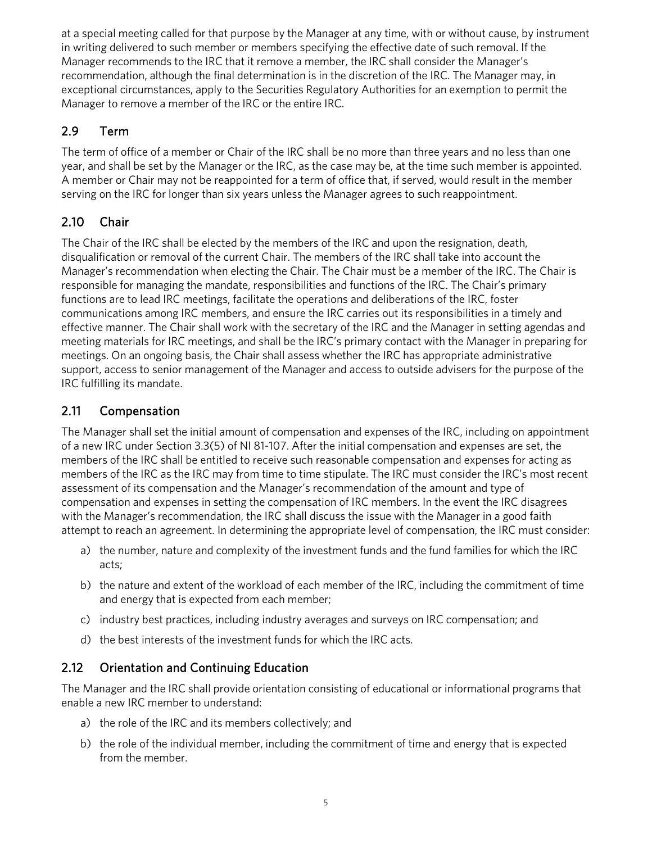at a special meeting called for that purpose by the Manager at any time, with or without cause, by instrument in writing delivered to such member or members specifying the effective date of such removal. If the Manager recommends to the IRC that it remove a member, the IRC shall consider the Manager's recommendation, although the final determination is in the discretion of the IRC. The Manager may, in exceptional circumstances, apply to the Securities Regulatory Authorities for an exemption to permit the Manager to remove a member of the IRC or the entire IRC.

# <span id="page-4-0"></span>2.9 Term

The term of office of a member or Chair of the IRC shall be no more than three years and no less than one year, and shall be set by the Manager or the IRC, as the case may be, at the time such member is appointed. A member or Chair may not be reappointed for a term of office that, if served, would result in the member serving on the IRC for longer than six years unless the Manager agrees to such reappointment.

# 2.10 Chair

The Chair of the IRC shall be elected by the members of the IRC and upon the resignation, death, disqualification or removal of the current Chair. The members of the IRC shall take into account the Manager's recommendation when electing the Chair. The Chair must be a member of the IRC. The Chair is responsible for managing the mandate, responsibilities and functions of the IRC. The Chair's primary functions are to lead IRC meetings, facilitate the operations and deliberations of the IRC, foster communications among IRC members, and ensure the IRC carries out its responsibilities in a timely and effective manner. The Chair shall work with the secretary of the IRC and the Manager in setting agendas and meeting materials for IRC meetings, and shall be the IRC's primary contact with the Manager in preparing for meetings. On an ongoing basis, the Chair shall assess whether the IRC has appropriate administrative support, access to senior management of the Manager and access to outside advisers for the purpose of the IRC fulfilling its mandate.

# 2.11 Compensation

The Manager shall set the initial amount of compensation and expenses of the IRC, including on appointment of a new IRC under Section 3.3(5) of NI 81-107. After the initial compensation and expenses are set, the members of the IRC shall be entitled to receive such reasonable compensation and expenses for acting as members of the IRC as the IRC may from time to time stipulate. The IRC must consider the IRC's most recent assessment of its compensation and the Manager's recommendation of the amount and type of compensation and expenses in setting the compensation of IRC members. In the event the IRC disagrees with the Manager's recommendation, the IRC shall discuss the issue with the Manager in a good faith attempt to reach an agreement. In determining the appropriate level of compensation, the IRC must consider:

- a) the number, nature and complexity of the investment funds and the fund families for which the IRC acts;
- b) the nature and extent of the workload of each member of the IRC, including the commitment of time and energy that is expected from each member;
- c) industry best practices, including industry averages and surveys on IRC compensation; and
- d) the best interests of the investment funds for which the IRC acts.

### 2.12 Orientation and Continuing Education

The Manager and the IRC shall provide orientation consisting of educational or informational programs that enable a new IRC member to understand:

- a) the role of the IRC and its members collectively; and
- b) the role of the individual member, including the commitment of time and energy that is expected from the member.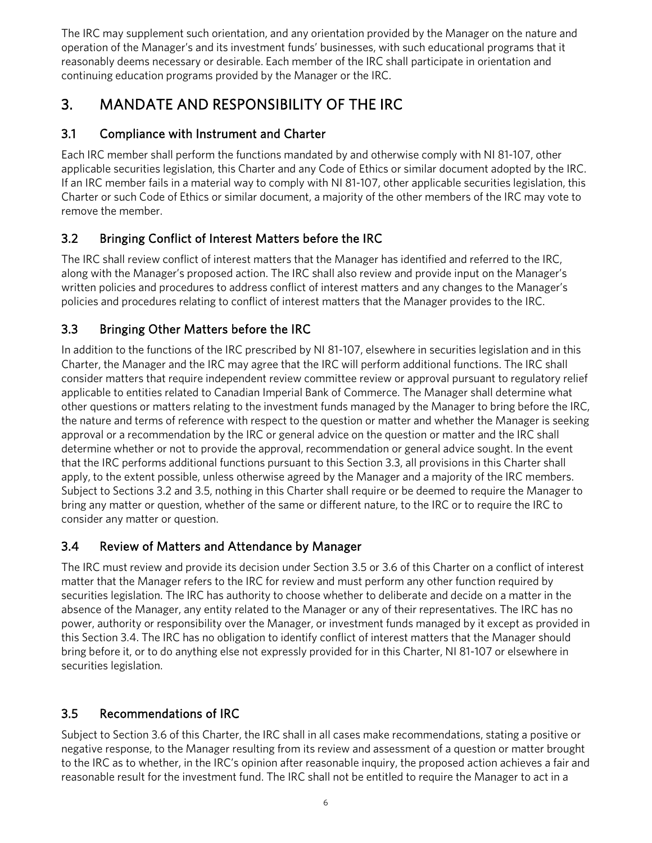The IRC may supplement such orientation, and any orientation provided by the Manager on the nature and operation of the Manager's and its investment funds' businesses, with such educational programs that it reasonably deems necessary or desirable. Each member of the IRC shall participate in orientation and continuing education programs provided by the Manager or the IRC.

# <span id="page-5-0"></span>3. MANDATE AND RESPONSIBILITY OF THE IRC

# <span id="page-5-1"></span>3.1 Compliance with Instrument and Charter

Each IRC member shall perform the functions mandated by and otherwise comply with NI 81-107, other applicable securities legislation, this Charter and any Code of Ethics or similar document adopted by the IRC. If an IRC member fails in a material way to comply with NI 81-107, other applicable securities legislation, this Charter or such Code of Ethics or similar document, a majority of the other members of the IRC may vote to remove the member.

# <span id="page-5-2"></span>3.2 Bringing Conflict of Interest Matters before the IRC

The IRC shall review conflict of interest matters that the Manager has identified and referred to the IRC, along with the Manager's proposed action. The IRC shall also review and provide input on the Manager's written policies and procedures to address conflict of interest matters and any changes to the Manager's policies and procedures relating to conflict of interest matters that the Manager provides to the IRC.

# 3.3 Bringing Other Matters before the IRC

In addition to the functions of the IRC prescribed by NI 81-107, elsewhere in securities legislation and in this Charter, the Manager and the IRC may agree that the IRC will perform additional functions. The IRC shall consider matters that require independent review committee review or approval pursuant to regulatory relief applicable to entities related to Canadian Imperial Bank of Commerce. The Manager shall determine what other questions or matters relating to the investment funds managed by the Manager to bring before the IRC, the nature and terms of reference with respect to the question or matter and whether the Manager is seeking approval or a recommendation by the IRC or general advice on the question or matter and the IRC shall determine whether or not to provide the approval, recommendation or general advice sought. In the event that the IRC performs additional functions pursuant to this Section 3.3, all provisions in this Charter shall apply, to the extent possible, unless otherwise agreed by the Manager and a majority of the IRC members. Subject to Sections 3.2 and 3.5, nothing in this Charter shall require or be deemed to require the Manager to bring any matter or question, whether of the same or different nature, to the IRC or to require the IRC to consider any matter or question.

### <span id="page-5-3"></span>3.4 Review of Matters and Attendance by Manager

The IRC must review and provide its decision under Section 3.5 or 3.6 of this Charter on a conflict of interest matter that the Manager refers to the IRC for review and must perform any other function required by securities legislation. The IRC has authority to choose whether to deliberate and decide on a matter in the absence of the Manager, any entity related to the Manager or any of their representatives. The IRC has no power, authority or responsibility over the Manager, or investment funds managed by it except as provided in this Section 3.4. The IRC has no obligation to identify conflict of interest matters that the Manager should bring before it, or to do anything else not expressly provided for in this Charter, NI 81-107 or elsewhere in securities legislation.

### <span id="page-5-4"></span>3.5 Recommendations of IRC

Subject to Section 3.6 of this Charter, the IRC shall in all cases make recommendations, stating a positive or negative response, to the Manager resulting from its review and assessment of a question or matter brought to the IRC as to whether, in the IRC's opinion after reasonable inquiry, the proposed action achieves a fair and reasonable result for the investment fund. The IRC shall not be entitled to require the Manager to act in a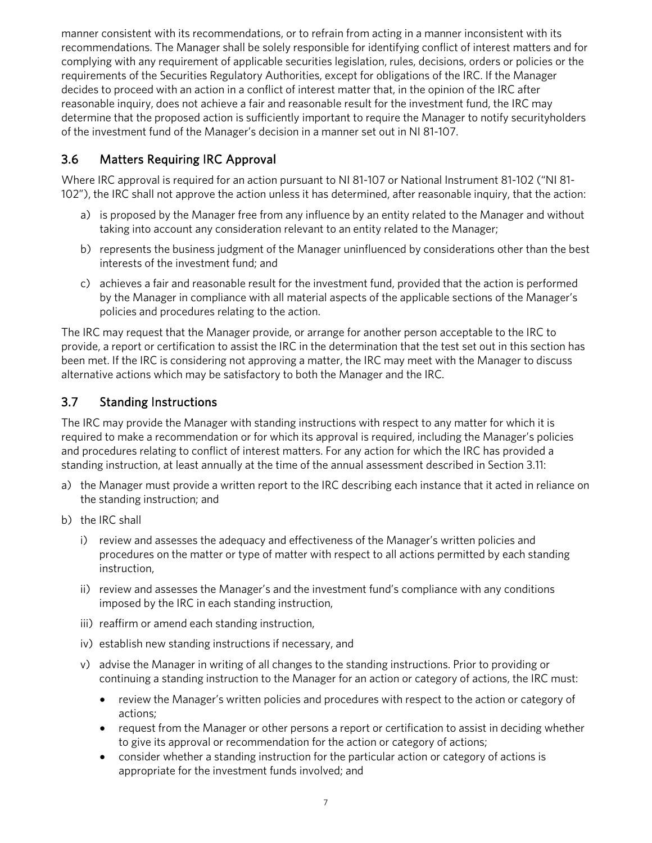manner consistent with its recommendations, or to refrain from acting in a manner inconsistent with its recommendations. The Manager shall be solely responsible for identifying conflict of interest matters and for complying with any requirement of applicable securities legislation, rules, decisions, orders or policies or the requirements of the Securities Regulatory Authorities, except for obligations of the IRC. If the Manager decides to proceed with an action in a conflict of interest matter that, in the opinion of the IRC after reasonable inquiry, does not achieve a fair and reasonable result for the investment fund, the IRC may determine that the proposed action is sufficiently important to require the Manager to notify securityholders of the investment fund of the Manager's decision in a manner set out in NI 81-107.

### 3.6 Matters Requiring IRC Approval

Where IRC approval is required for an action pursuant to NI 81-107 or National Instrument 81-102 ("NI 81- 102"), the IRC shall not approve the action unless it has determined, after reasonable inquiry, that the action:

- a) is proposed by the Manager free from any influence by an entity related to the Manager and without taking into account any consideration relevant to an entity related to the Manager;
- b) represents the business judgment of the Manager uninfluenced by considerations other than the best interests of the investment fund; and
- c) achieves a fair and reasonable result for the investment fund, provided that the action is performed by the Manager in compliance with all material aspects of the applicable sections of the Manager's policies and procedures relating to the action.

The IRC may request that the Manager provide, or arrange for another person acceptable to the IRC to provide, a report or certification to assist the IRC in the determination that the test set out in this section has been met. If the IRC is considering not approving a matter, the IRC may meet with the Manager to discuss alternative actions which may be satisfactory to both the Manager and the IRC.

#### 3.7 Standing Instructions

The IRC may provide the Manager with standing instructions with respect to any matter for which it is required to make a recommendation or for which its approval is required, including the Manager's policies and procedures relating to conflict of interest matters. For any action for which the IRC has provided a standing instruction, at least annually at the time of the annual assessment described in Section 3.11:

- a) the Manager must provide a written report to the IRC describing each instance that it acted in reliance on the standing instruction; and
- b) the IRC shall
	- i) review and assesses the adequacy and effectiveness of the Manager's written policies and procedures on the matter or type of matter with respect to all actions permitted by each standing instruction,
	- ii) review and assesses the Manager's and the investment fund's compliance with any conditions imposed by the IRC in each standing instruction,
	- iii) reaffirm or amend each standing instruction,
	- iv) establish new standing instructions if necessary, and
	- v) advise the Manager in writing of all changes to the standing instructions. Prior to providing or continuing a standing instruction to the Manager for an action or category of actions, the IRC must:
		- review the Manager's written policies and procedures with respect to the action or category of actions;
		- request from the Manager or other persons a report or certification to assist in deciding whether to give its approval or recommendation for the action or category of actions;
		- consider whether a standing instruction for the particular action or category of actions is appropriate for the investment funds involved; and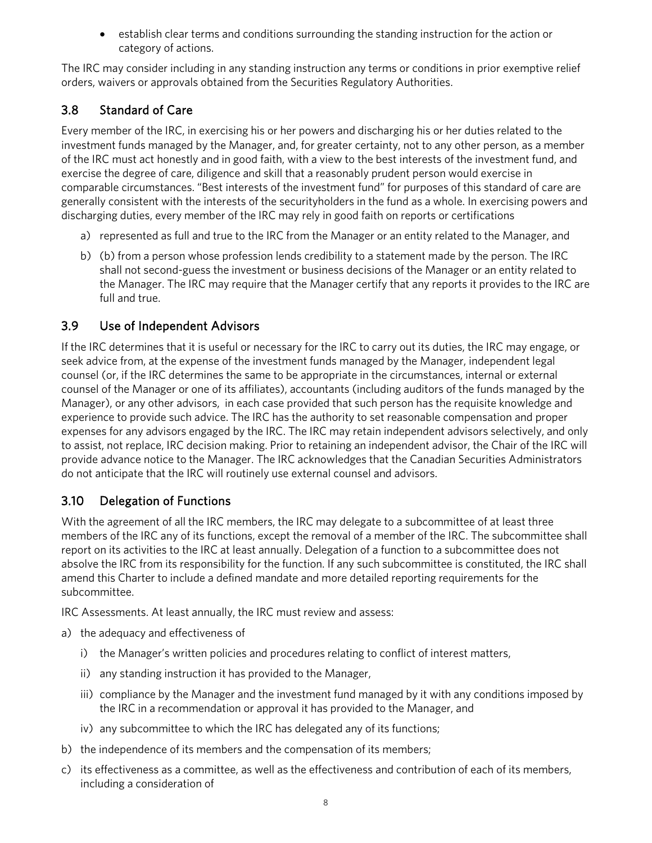<span id="page-7-0"></span>• establish clear terms and conditions surrounding the standing instruction for the action or category of actions.

The IRC may consider including in any standing instruction any terms or conditions in prior exemptive relief orders, waivers or approvals obtained from the Securities Regulatory Authorities.

# 3.8 Standard of Care

Every member of the IRC, in exercising his or her powers and discharging his or her duties related to the investment funds managed by the Manager, and, for greater certainty, not to any other person, as a member of the IRC must act honestly and in good faith, with a view to the best interests of the investment fund, and exercise the degree of care, diligence and skill that a reasonably prudent person would exercise in comparable circumstances. "Best interests of the investment fund" for purposes of this standard of care are generally consistent with the interests of the securityholders in the fund as a whole. In exercising powers and discharging duties, every member of the IRC may rely in good faith on reports or certifications

- a) represented as full and true to the IRC from the Manager or an entity related to the Manager, and
- <span id="page-7-1"></span>b) (b) from a person whose profession lends credibility to a statement made by the person. The IRC shall not second-guess the investment or business decisions of the Manager or an entity related to the Manager. The IRC may require that the Manager certify that any reports it provides to the IRC are full and true.

#### 3.9 Use of Independent Advisors

If the IRC determines that it is useful or necessary for the IRC to carry out its duties, the IRC may engage, or seek advice from, at the expense of the investment funds managed by the Manager, independent legal counsel (or, if the IRC determines the same to be appropriate in the circumstances, internal or external counsel of the Manager or one of its affiliates), accountants (including auditors of the funds managed by the Manager), or any other advisors, in each case provided that such person has the requisite knowledge and experience to provide such advice. The IRC has the authority to set reasonable compensation and proper expenses for any advisors engaged by the IRC. The IRC may retain independent advisors selectively, and only to assist, not replace, IRC decision making. Prior to retaining an independent advisor, the Chair of the IRC will provide advance notice to the Manager. The IRC acknowledges that the Canadian Securities Administrators do not anticipate that the IRC will routinely use external counsel and advisors.

### <span id="page-7-2"></span>3.10 Delegation of Functions

With the agreement of all the IRC members, the IRC may delegate to a subcommittee of at least three members of the IRC any of its functions, except the removal of a member of the IRC. The subcommittee shall report on its activities to the IRC at least annually. Delegation of a function to a subcommittee does not absolve the IRC from its responsibility for the function. If any such subcommittee is constituted, the IRC shall amend this Charter to include a defined mandate and more detailed reporting requirements for the subcommittee.

<span id="page-7-3"></span>IRC Assessments. At least annually, the IRC must review and assess:

- a) the adequacy and effectiveness of
	- i) the Manager's written policies and procedures relating to conflict of interest matters,
	- ii) any standing instruction it has provided to the Manager,
	- iii) compliance by the Manager and the investment fund managed by it with any conditions imposed by the IRC in a recommendation or approval it has provided to the Manager, and
	- iv) any subcommittee to which the IRC has delegated any of its functions;
- b) the independence of its members and the compensation of its members;
- c) its effectiveness as a committee, as well as the effectiveness and contribution of each of its members, including a consideration of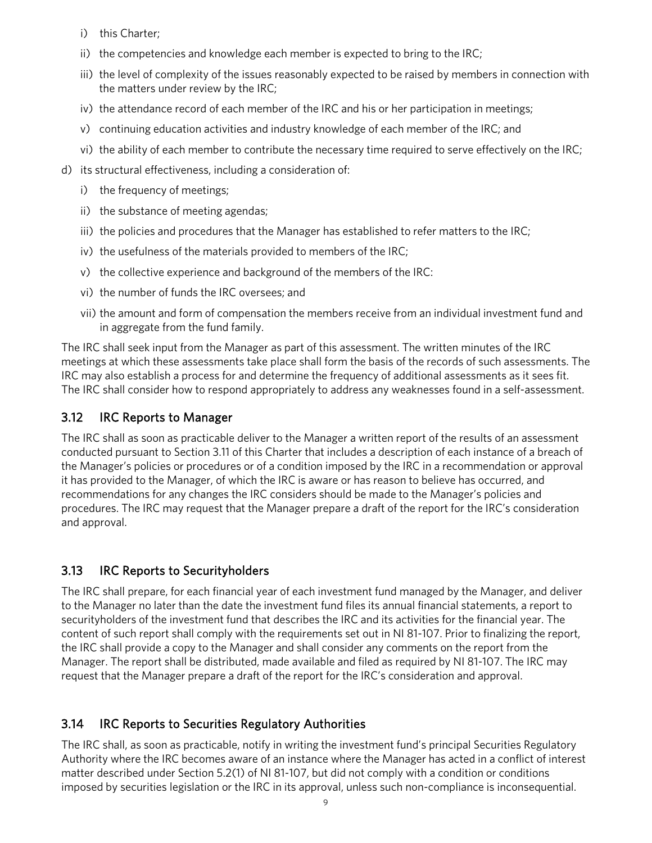- i) this Charter;
- ii) the competencies and knowledge each member is expected to bring to the IRC;
- iii) the level of complexity of the issues reasonably expected to be raised by members in connection with the matters under review by the IRC;
- iv) the attendance record of each member of the IRC and his or her participation in meetings;
- v) continuing education activities and industry knowledge of each member of the IRC; and
- vi) the ability of each member to contribute the necessary time required to serve effectively on the IRC;
- d) its structural effectiveness, including a consideration of:
	- i) the frequency of meetings;
	- ii) the substance of meeting agendas;
	- iii) the policies and procedures that the Manager has established to refer matters to the IRC;
	- iv) the usefulness of the materials provided to members of the IRC;
	- v) the collective experience and background of the members of the IRC:
	- vi) the number of funds the IRC oversees; and
	- vii) the amount and form of compensation the members receive from an individual investment fund and in aggregate from the fund family.

The IRC shall seek input from the Manager as part of this assessment. The written minutes of the IRC meetings at which these assessments take place shall form the basis of the records of such assessments. The IRC may also establish a process for and determine the frequency of additional assessments as it sees fit. The IRC shall consider how to respond appropriately to address any weaknesses found in a self-assessment.

#### <span id="page-8-0"></span>3.12 IRC Reports to Manager

The IRC shall as soon as practicable deliver to the Manager a written report of the results of an assessment conducted pursuant to Section 3.11 of this Charter that includes a description of each instance of a breach of the Manager's policies or procedures or of a condition imposed by the IRC in a recommendation or approval it has provided to the Manager, of which the IRC is aware or has reason to believe has occurred, and recommendations for any changes the IRC considers should be made to the Manager's policies and procedures. The IRC may request that the Manager prepare a draft of the report for the IRC's consideration and approval.

#### <span id="page-8-1"></span>3.13 IRC Reports to Securityholders

The IRC shall prepare, for each financial year of each investment fund managed by the Manager, and deliver to the Manager no later than the date the investment fund files its annual financial statements, a report to securityholders of the investment fund that describes the IRC and its activities for the financial year. The content of such report shall comply with the requirements set out in NI 81-107. Prior to finalizing the report, the IRC shall provide a copy to the Manager and shall consider any comments on the report from the Manager. The report shall be distributed, made available and filed as required by NI 81-107. The IRC may request that the Manager prepare a draft of the report for the IRC's consideration and approval.

#### <span id="page-8-2"></span>3.14 IRC Reports to Securities Regulatory Authorities

The IRC shall, as soon as practicable, notify in writing the investment fund's principal Securities Regulatory Authority where the IRC becomes aware of an instance where the Manager has acted in a conflict of interest matter described under Section 5.2(1) of NI 81-107, but did not comply with a condition or conditions imposed by securities legislation or the IRC in its approval, unless such non-compliance is inconsequential.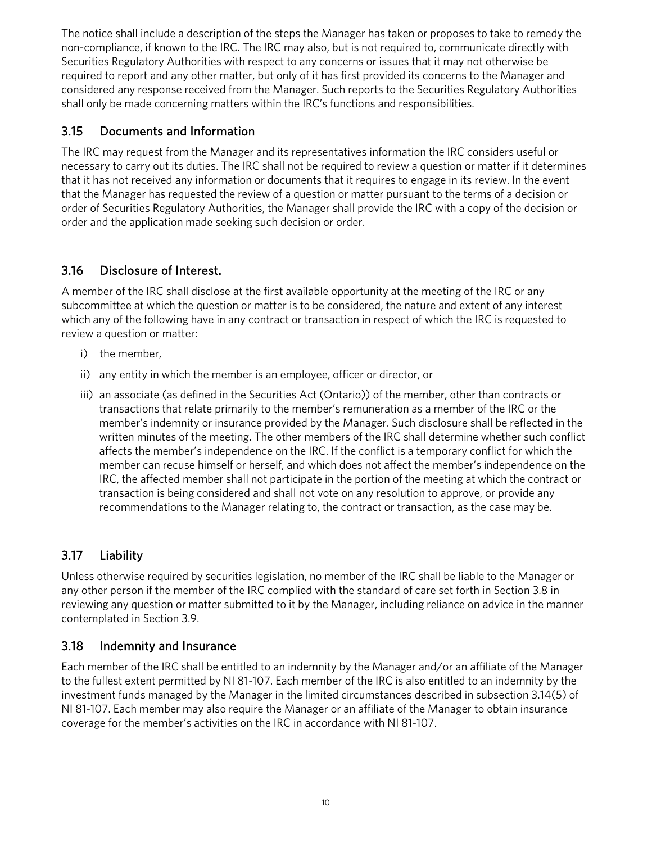The notice shall include a description of the steps the Manager has taken or proposes to take to remedy the non-compliance, if known to the IRC. The IRC may also, but is not required to, communicate directly with Securities Regulatory Authorities with respect to any concerns or issues that it may not otherwise be required to report and any other matter, but only of it has first provided its concerns to the Manager and considered any response received from the Manager. Such reports to the Securities Regulatory Authorities shall only be made concerning matters within the IRC's functions and responsibilities.

#### <span id="page-9-0"></span>3.15 Documents and Information

The IRC may request from the Manager and its representatives information the IRC considers useful or necessary to carry out its duties. The IRC shall not be required to review a question or matter if it determines that it has not received any information or documents that it requires to engage in its review. In the event that the Manager has requested the review of a question or matter pursuant to the terms of a decision or order of Securities Regulatory Authorities, the Manager shall provide the IRC with a copy of the decision or order and the application made seeking such decision or order.

### <span id="page-9-1"></span>3.16 Disclosure of Interest.

A member of the IRC shall disclose at the first available opportunity at the meeting of the IRC or any subcommittee at which the question or matter is to be considered, the nature and extent of any interest which any of the following have in any contract or transaction in respect of which the IRC is requested to review a question or matter:

- i) the member,
- ii) any entity in which the member is an employee, officer or director, or
- iii) an associate (as defined in the Securities Act (Ontario)) of the member, other than contracts or transactions that relate primarily to the member's remuneration as a member of the IRC or the member's indemnity or insurance provided by the Manager. Such disclosure shall be reflected in the written minutes of the meeting. The other members of the IRC shall determine whether such conflict affects the member's independence on the IRC. If the conflict is a temporary conflict for which the member can recuse himself or herself, and which does not affect the member's independence on the IRC, the affected member shall not participate in the portion of the meeting at which the contract or transaction is being considered and shall not vote on any resolution to approve, or provide any recommendations to the Manager relating to, the contract or transaction, as the case may be.

### <span id="page-9-2"></span>3.17 Liability

Unless otherwise required by securities legislation, no member of the IRC shall be liable to the Manager or any other person if the member of the IRC complied with the standard of care set forth in Section 3.8 in reviewing any question or matter submitted to it by the Manager, including reliance on advice in the manner contemplated in Section 3.9.

### <span id="page-9-3"></span>3.18 Indemnity and Insurance

Each member of the IRC shall be entitled to an indemnity by the Manager and/or an affiliate of the Manager to the fullest extent permitted by NI 81-107. Each member of the IRC is also entitled to an indemnity by the investment funds managed by the Manager in the limited circumstances described in subsection 3.14(5) of NI 81-107. Each member may also require the Manager or an affiliate of the Manager to obtain insurance coverage for the member's activities on the IRC in accordance with NI 81-107.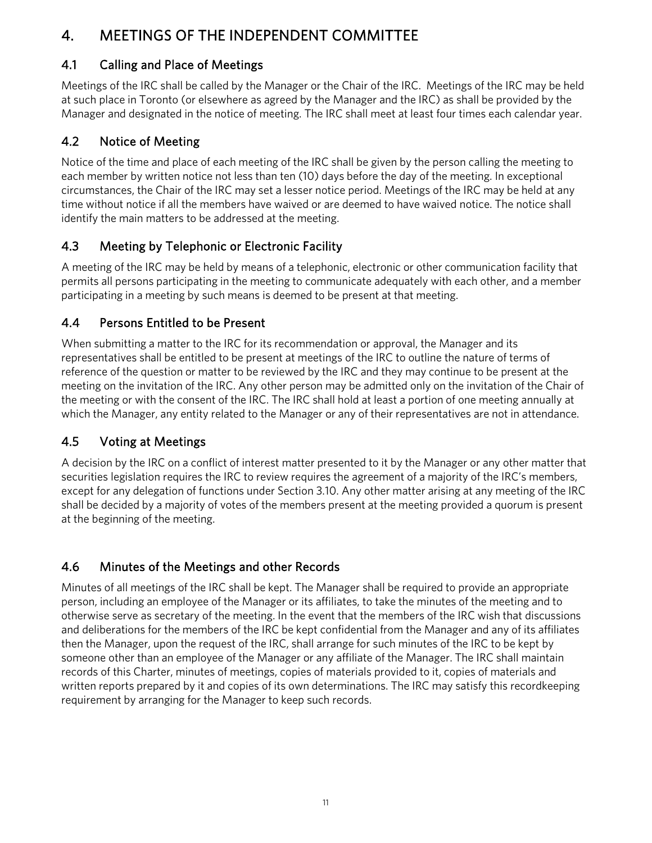# <span id="page-10-0"></span>4. MEETINGS OF THE INDEPENDENT COMMITTEE

### <span id="page-10-1"></span>4.1 Calling and Place of Meetings

Meetings of the IRC shall be called by the Manager or the Chair of the IRC. Meetings of the IRC may be held at such place in Toronto (or elsewhere as agreed by the Manager and the IRC) as shall be provided by the Manager and designated in the notice of meeting. The IRC shall meet at least four times each calendar year.

# <span id="page-10-2"></span>4.2 Notice of Meeting

Notice of the time and place of each meeting of the IRC shall be given by the person calling the meeting to each member by written notice not less than ten (10) days before the day of the meeting. In exceptional circumstances, the Chair of the IRC may set a lesser notice period. Meetings of the IRC may be held at any time without notice if all the members have waived or are deemed to have waived notice. The notice shall identify the main matters to be addressed at the meeting.

# <span id="page-10-3"></span>4.3 Meeting by Telephonic or Electronic Facility

A meeting of the IRC may be held by means of a telephonic, electronic or other communication facility that permits all persons participating in the meeting to communicate adequately with each other, and a member participating in a meeting by such means is deemed to be present at that meeting.

### <span id="page-10-4"></span>4.4 Persons Entitled to be Present

When submitting a matter to the IRC for its recommendation or approval, the Manager and its representatives shall be entitled to be present at meetings of the IRC to outline the nature of terms of reference of the question or matter to be reviewed by the IRC and they may continue to be present at the meeting on the invitation of the IRC. Any other person may be admitted only on the invitation of the Chair of the meeting or with the consent of the IRC. The IRC shall hold at least a portion of one meeting annually at which the Manager, any entity related to the Manager or any of their representatives are not in attendance.

### <span id="page-10-5"></span>4.5 Voting at Meetings

A decision by the IRC on a conflict of interest matter presented to it by the Manager or any other matter that securities legislation requires the IRC to review requires the agreement of a majority of the IRC's members, except for any delegation of functions under Section 3.10. Any other matter arising at any meeting of the IRC shall be decided by a majority of votes of the members present at the meeting provided a quorum is present at the beginning of the meeting.

# <span id="page-10-6"></span>4.6 Minutes of the Meetings and other Records

Minutes of all meetings of the IRC shall be kept. The Manager shall be required to provide an appropriate person, including an employee of the Manager or its affiliates, to take the minutes of the meeting and to otherwise serve as secretary of the meeting. In the event that the members of the IRC wish that discussions and deliberations for the members of the IRC be kept confidential from the Manager and any of its affiliates then the Manager, upon the request of the IRC, shall arrange for such minutes of the IRC to be kept by someone other than an employee of the Manager or any affiliate of the Manager. The IRC shall maintain records of this Charter, minutes of meetings, copies of materials provided to it, copies of materials and written reports prepared by it and copies of its own determinations. The IRC may satisfy this recordkeeping requirement by arranging for the Manager to keep such records.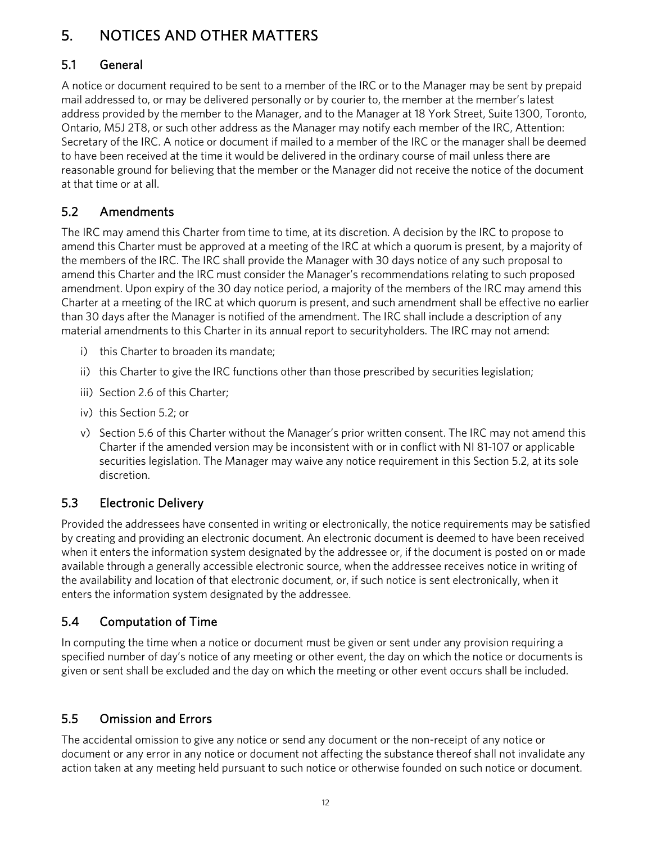# <span id="page-11-0"></span>5. NOTICES AND OTHER MATTERS

# <span id="page-11-1"></span>5.1 General

A notice or document required to be sent to a member of the IRC or to the Manager may be sent by prepaid mail addressed to, or may be delivered personally or by courier to, the member at the member's latest address provided by the member to the Manager, and to the Manager at 18 York Street, Suite 1300, Toronto, Ontario, M5J 2T8, or such other address as the Manager may notify each member of the IRC, Attention: Secretary of the IRC. A notice or document if mailed to a member of the IRC or the manager shall be deemed to have been received at the time it would be delivered in the ordinary course of mail unless there are reasonable ground for believing that the member or the Manager did not receive the notice of the document at that time or at all.

# <span id="page-11-2"></span>5.2 Amendments

The IRC may amend this Charter from time to time, at its discretion. A decision by the IRC to propose to amend this Charter must be approved at a meeting of the IRC at which a quorum is present, by a majority of the members of the IRC. The IRC shall provide the Manager with 30 days notice of any such proposal to amend this Charter and the IRC must consider the Manager's recommendations relating to such proposed amendment. Upon expiry of the 30 day notice period, a majority of the members of the IRC may amend this Charter at a meeting of the IRC at which quorum is present, and such amendment shall be effective no earlier than 30 days after the Manager is notified of the amendment. The IRC shall include a description of any material amendments to this Charter in its annual report to securityholders. The IRC may not amend:

- i) this Charter to broaden its mandate;
- ii) this Charter to give the IRC functions other than those prescribed by securities legislation;
- iii) Section 2.6 of this Charter;
- iv) this Section 5.2; or
- <span id="page-11-3"></span>v) Section 5.6 of this Charter without the Manager's prior written consent. The IRC may not amend this Charter if the amended version may be inconsistent with or in conflict with NI 81-107 or applicable securities legislation. The Manager may waive any notice requirement in this Section 5.2, at its sole discretion.

# 5.3 Electronic Delivery

Provided the addressees have consented in writing or electronically, the notice requirements may be satisfied by creating and providing an electronic document. An electronic document is deemed to have been received when it enters the information system designated by the addressee or, if the document is posted on or made available through a generally accessible electronic source, when the addressee receives notice in writing of the availability and location of that electronic document, or, if such notice is sent electronically, when it enters the information system designated by the addressee.

# <span id="page-11-4"></span>5.4 Computation of Time

In computing the time when a notice or document must be given or sent under any provision requiring a specified number of day's notice of any meeting or other event, the day on which the notice or documents is given or sent shall be excluded and the day on which the meeting or other event occurs shall be included.

# <span id="page-11-5"></span>5.5 Omission and Errors

The accidental omission to give any notice or send any document or the non-receipt of any notice or document or any error in any notice or document not affecting the substance thereof shall not invalidate any action taken at any meeting held pursuant to such notice or otherwise founded on such notice or document.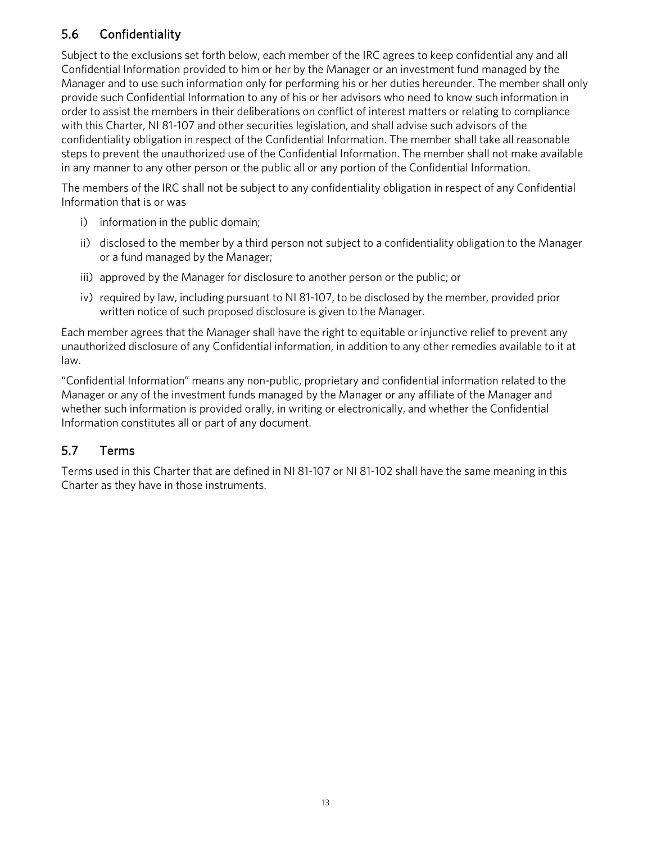# <span id="page-12-0"></span>5.6 Confidentiality

Subject to the exclusions set forth below, each member of the IRC agrees to keep confidential any and all Confidential Information provided to him or her by the Manager or an investment fund managed by the Manager and to use such information only for performing his or her duties hereunder. The member shall only provide such Confidential Information to any of his or her advisors who need to know such information in order to assist the members in their deliberations on conflict of interest matters or relating to compliance with this Charter, NI 81-107 and other securities legislation, and shall advise such advisors of the confidentiality obligation in respect of the Confidential Information. The member shall take all reasonable steps to prevent the unauthorized use of the Confidential Information. The member shall not make available in any manner to any other person or the public all or any portion of the Confidential Information.

The members of the IRC shall not be subject to any confidentiality obligation in respect of any Confidential Information that is or was

- i) information in the public domain;
- ii) disclosed to the member by a third person not subject to a confidentiality obligation to the Manager or a fund managed by the Manager;
- iii) approved by the Manager for disclosure to another person or the public; or
- iv) required by law, including pursuant to NI 81-107, to be disclosed by the member, provided prior written notice of such proposed disclosure is given to the Manager.

Each member agrees that the Manager shall have the right to equitable or injunctive relief to prevent any unauthorized disclosure of any Confidential information, in addition to any other remedies available to it at law.

"Confidential Information" means any non-public, proprietary and confidential information related to the Manager or any of the investment funds managed by the Manager or any affiliate of the Manager and whether such information is provided orally, in writing or electronically, and whether the Confidential Information constitutes all or part of any document.

### <span id="page-12-1"></span>5.7 Terms

Terms used in this Charter that are defined in NI 81-107 or NI 81-102 shall have the same meaning in this Charter as they have in those instruments.